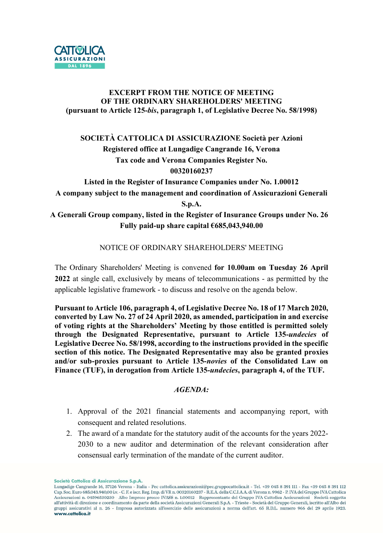

### EXCERPT FROM THE NOTICE OF MEETING OF THE ORDINARY SHAREHOLDERS' MEETING (pursuant to Article 125-bis, paragraph 1, of Legislative Decree No. 58/1998)

# SOCIETÀ CATTOLICA DI ASSICURAZIONE Società per Azioni Registered office at Lungadige Cangrande 16, Verona Tax code and Verona Companies Register No. 00320160237

Listed in the Register of Insurance Companies under No. 1.00012 A company subject to the management and coordination of Assicurazioni Generali S.p.A.

## A Generali Group company, listed in the Register of Insurance Groups under No. 26 Fully paid-up share capital  $6685,043,940.00$

## NOTICE OF ORDINARY SHAREHOLDERS' MEETING

The Ordinary Shareholders' Meeting is convened for 10.00am on Tuesday 26 April 2022 at single call, exclusively by means of telecommunications - as permitted by the applicable legislative framework - to discuss and resolve on the agenda below.

Pursuant to Article 106, paragraph 4, of Legislative Decree No. 18 of 17 March 2020, converted by Law No. 27 of 24 April 2020, as amended, participation in and exercise of voting rights at the Shareholders' Meeting by those entitled is permitted solely through the Designated Representative, pursuant to Article 135-undecies of Legislative Decree No. 58/1998, according to the instructions provided in the specific section of this notice. The Designated Representative may also be granted proxies and/or sub-proxies pursuant to Article 135-novies of the Consolidated Law on Finance (TUF), in derogation from Article 135-undecies, paragraph 4, of the TUF.

#### $AGENDA \cdot$

- 1. Approval of the 2021 financial statements and accompanying report, with consequent and related resolutions.
- 2. The award of a mandate for the statutory audit of the accounts for the years 2022- 2030 to a new auditor and determination of the relevant consideration after consensual early termination of the mandate of the current auditor.

Società Cattolica di Assicurazione S.p.A.

Lungadige Cangrande 16, 37126 Verona - Italia - Pec cattolica.assicurazioni@pec.gruppocattolica.it - Tel. +39 045 8 391 111 - Fax +39 045 8 391 112 Cap. Soc. Euro 685.043.940,00 i.v. - C. F. e iscr. Reg. Imp. di VR n. 00320160237 - R.E.A. della C.C.I.A.A. di Verona n. 9962 - P. IVA del Gruppo IVA Cattolica Assicurazioni n. 04596530230 - Albo Imprese presso IVASS n. 1.00012 - Rappresentante del Gruppo IVA Cattolica Assicurazioni - Società soggetta all'attività di direzione e coordinamento da parte della società Assicurazioni Generali S.p.A. - Trieste - Società del Gruppo Generali, iscritto all'Albo dei gruppi assicurativi al n. 26 - Impresa autorizzata all'esercizio delle assicurazioni a norma dell'art. 65 R.D.L. numero 966 del 29 aprile 1923. www.cattolica.it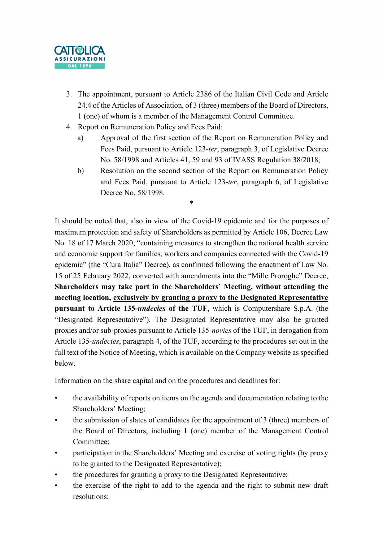

- 3. The appointment, pursuant to Article 2386 of the Italian Civil Code and Article 24.4 of the Articles of Association, of 3 (three) members of the Board of Directors, 1 (one) of whom is a member of the Management Control Committee.
- 4. Report on Remuneration Policy and Fees Paid:
	- a) Approval of the first section of the Report on Remuneration Policy and Fees Paid, pursuant to Article 123-ter, paragraph 3, of Legislative Decree No. 58/1998 and Articles 41, 59 and 93 of IVASS Regulation 38/2018;
	- b) Resolution on the second section of the Report on Remuneration Policy and Fees Paid, pursuant to Article 123-ter, paragraph 6, of Legislative Decree No. 58/1998.

\*

It should be noted that, also in view of the Covid-19 epidemic and for the purposes of maximum protection and safety of Shareholders as permitted by Article 106, Decree Law No. 18 of 17 March 2020, "containing measures to strengthen the national health service and economic support for families, workers and companies connected with the Covid-19 epidemic" (the "Cura Italia" Decree), as confirmed following the enactment of Law No. 15 of 25 February 2022, converted with amendments into the "Mille Proroghe" Decree, Shareholders may take part in the Shareholders' Meeting, without attending the meeting location, exclusively by granting a proxy to the Designated Representative pursuant to Article 135-undecies of the TUF, which is Computershare S.p.A. (the "Designated Representative"). The Designated Representative may also be granted proxies and/or sub-proxies pursuant to Article 135-novies of the TUF, in derogation from Article 135-undecies, paragraph 4, of the TUF, according to the procedures set out in the full text of the Notice of Meeting, which is available on the Company website as specified below.

Information on the share capital and on the procedures and deadlines for:

- the availability of reports on items on the agenda and documentation relating to the Shareholders' Meeting;
- the submission of slates of candidates for the appointment of 3 (three) members of the Board of Directors, including 1 (one) member of the Management Control Committee;
- participation in the Shareholders' Meeting and exercise of voting rights (by proxy to be granted to the Designated Representative);
- the procedures for granting a proxy to the Designated Representative;
- the exercise of the right to add to the agenda and the right to submit new draft resolutions;